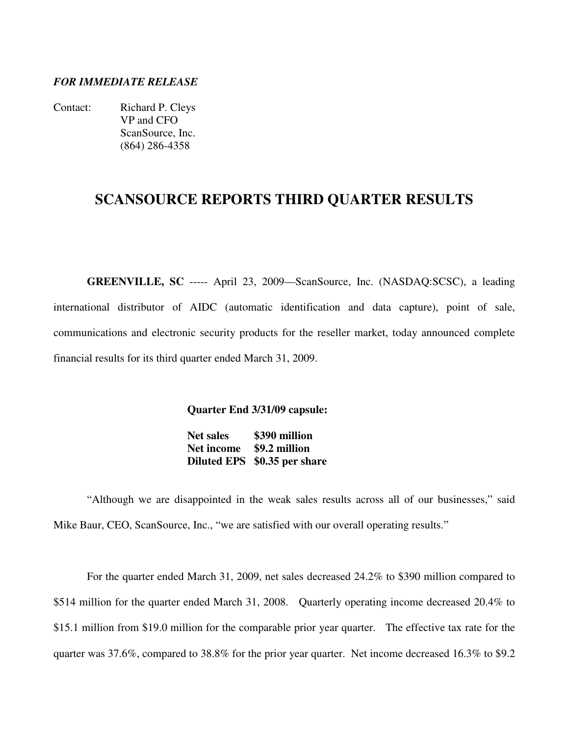#### *FOR IMMEDIATE RELEASE*

Contact: Richard P. Cleys VP and CFO ScanSource, Inc. (864) 286-4358

## **SCANSOURCE REPORTS THIRD QUARTER RESULTS**

**GREENVILLE, SC** ----- April 23, 2009—ScanSource, Inc. (NASDAQ:SCSC), a leading international distributor of AIDC (automatic identification and data capture), point of sale, communications and electronic security products for the reseller market, today announced complete financial results for its third quarter ended March 31, 2009.

**Quarter End 3/31/09 capsule:** 

 **Net sales \$390 million Net income \$9.2 million Diluted EPS \$0.35 per share**

"Although we are disappointed in the weak sales results across all of our businesses," said Mike Baur, CEO, ScanSource, Inc., "we are satisfied with our overall operating results."

 For the quarter ended March 31, 2009, net sales decreased 24.2% to \$390 million compared to \$514 million for the quarter ended March 31, 2008. Quarterly operating income decreased 20.4% to \$15.1 million from \$19.0 million for the comparable prior year quarter. The effective tax rate for the quarter was 37.6%, compared to 38.8% for the prior year quarter. Net income decreased 16.3% to \$9.2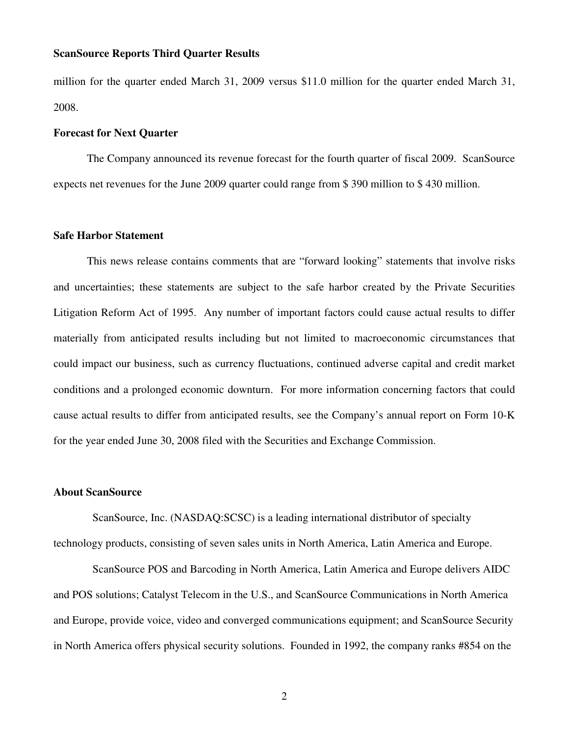#### **ScanSource Reports Third Quarter Results**

million for the quarter ended March 31, 2009 versus \$11.0 million for the quarter ended March 31, 2008.

#### **Forecast for Next Quarter**

 The Company announced its revenue forecast for the fourth quarter of fiscal 2009. ScanSource expects net revenues for the June 2009 quarter could range from \$ 390 million to \$ 430 million.

#### **Safe Harbor Statement**

 This news release contains comments that are "forward looking" statements that involve risks and uncertainties; these statements are subject to the safe harbor created by the Private Securities Litigation Reform Act of 1995. Any number of important factors could cause actual results to differ materially from anticipated results including but not limited to macroeconomic circumstances that could impact our business, such as currency fluctuations, continued adverse capital and credit market conditions and a prolonged economic downturn. For more information concerning factors that could cause actual results to differ from anticipated results, see the Company's annual report on Form 10-K for the year ended June 30, 2008 filed with the Securities and Exchange Commission.

#### **About ScanSource**

 ScanSource, Inc. (NASDAQ:SCSC) is a leading international distributor of specialty technology products, consisting of seven sales units in North America, Latin America and Europe.

 ScanSource POS and Barcoding in North America, Latin America and Europe delivers AIDC and POS solutions; Catalyst Telecom in the U.S., and ScanSource Communications in North America and Europe, provide voice, video and converged communications equipment; and ScanSource Security in North America offers physical security solutions. Founded in 1992, the company ranks #854 on the

2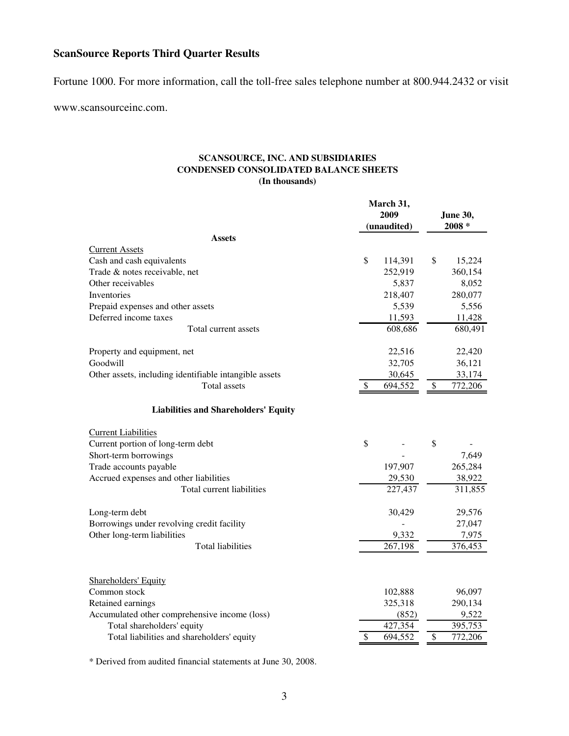### **ScanSource Reports Third Quarter Results**

Fortune 1000. For more information, call the toll-free sales telephone number at 800.944.2432 or visit

www.scansourceinc.com.

#### **SCANSOURCE, INC. AND SUBSIDIARIES CONDENSED CONSOLIDATED BALANCE SHEETS (In thousands)**

|                                                        | March 31,<br>2009<br>(unaudited) |         |        | <b>June 30,</b><br>$2008 *$ |  |
|--------------------------------------------------------|----------------------------------|---------|--------|-----------------------------|--|
| <b>Assets</b>                                          |                                  |         |        |                             |  |
| <b>Current Assets</b>                                  |                                  |         |        |                             |  |
| Cash and cash equivalents                              | \$                               | 114,391 | \$     | 15,224                      |  |
| Trade & notes receivable, net                          |                                  | 252,919 |        | 360,154                     |  |
| Other receivables                                      |                                  | 5,837   |        | 8,052                       |  |
| Inventories                                            |                                  | 218,407 |        | 280,077                     |  |
| Prepaid expenses and other assets                      |                                  | 5,539   |        | 5,556                       |  |
| Deferred income taxes                                  |                                  | 11,593  |        | 11,428                      |  |
| Total current assets                                   |                                  | 608,686 |        | 680,491                     |  |
| Property and equipment, net                            |                                  | 22,516  |        | 22,420                      |  |
| Goodwill                                               |                                  | 32,705  |        | 36,121                      |  |
| Other assets, including identifiable intangible assets |                                  | 30,645  |        | 33,174                      |  |
| <b>Total</b> assets                                    | \$                               | 694,552 | $\$\,$ | 772,206                     |  |
| <b>Liabilities and Shareholders' Equity</b>            |                                  |         |        |                             |  |
| <b>Current Liabilities</b>                             |                                  |         |        |                             |  |
| Current portion of long-term debt                      | \$                               |         | \$     |                             |  |
| Short-term borrowings                                  |                                  |         |        | 7,649                       |  |
| Trade accounts payable                                 |                                  | 197,907 |        | 265,284                     |  |
| Accrued expenses and other liabilities                 |                                  | 29,530  |        | 38,922                      |  |
| Total current liabilities                              |                                  | 227,437 |        | 311,855                     |  |
| Long-term debt                                         |                                  | 30,429  |        | 29,576                      |  |
| Borrowings under revolving credit facility             |                                  |         |        | 27,047                      |  |
| Other long-term liabilities                            |                                  | 9,332   |        | 7,975                       |  |
| <b>Total liabilities</b>                               |                                  | 267,198 |        | 376,453                     |  |
| <b>Shareholders' Equity</b>                            |                                  |         |        |                             |  |
| Common stock                                           |                                  | 102,888 |        | 96,097                      |  |
| Retained earnings                                      |                                  | 325,318 |        | 290,134                     |  |
| Accumulated other comprehensive income (loss)          |                                  | (852)   |        | 9,522                       |  |
| Total shareholders' equity                             |                                  | 427,354 |        | 395,753                     |  |
| Total liabilities and shareholders' equity             | \$                               | 694,552 | \$     | 772,206                     |  |

\* Derived from audited financial statements at June 30, 2008.